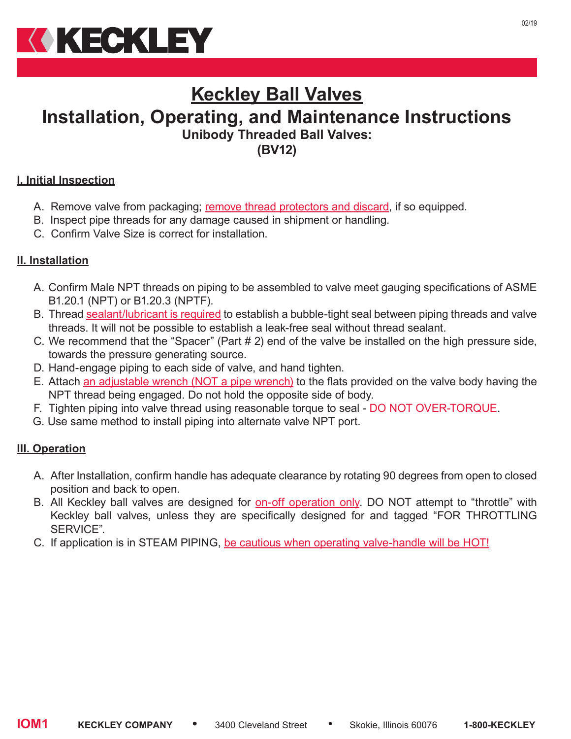

# **Keckley Ball Valves Installation, Operating, and Maintenance Instructions Unibody Threaded Ball Valves: (BV12)**

## **I. Initial Inspection**

- A. Remove valve from packaging; remove thread protectors and discard, if so equipped.
- B. Inspect pipe threads for any damage caused in shipment or handling.
- C. Confirm Valve Size is correct for installation.

#### **II. Installation**

- A. Confirm Male NPT threads on piping to be assembled to valve meet gauging specifications of ASME B1.20.1 (NPT) or B1.20.3 (NPTF).
- B. Thread sealant/lubricant is required to establish a bubble-tight seal between piping threads and valve threads. It will not be possible to establish a leak-free seal without thread sealant.
- C. We recommend that the "Spacer" (Part # 2) end of the valve be installed on the high pressure side, towards the pressure generating source.
- D. Hand-engage piping to each side of valve, and hand tighten.
- E. Attach an adjustable wrench (NOT a pipe wrench) to the flats provided on the valve body having the NPT thread being engaged. Do not hold the opposite side of body.
- F. Tighten piping into valve thread using reasonable torque to seal DO NOT OVER-TORQUE.
- G. Use same method to install piping into alternate valve NPT port.

#### **III. Operation**

- A. After Installation, confirm handle has adequate clearance by rotating 90 degrees from open to closed position and back to open.
- B. All Keckley ball valves are designed for **on-off operation only**. DO NOT attempt to "throttle" with Keckley ball valves, unless they are specifically designed for and tagged "FOR THROTTLING SERVICE".
- C. If application is in STEAM PIPING, be cautious when operating valve-handle will be HOT!